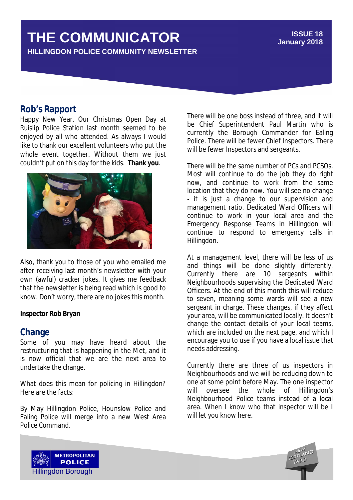# **THE COMMUNICATOR**

**HILLINGDON POLICE COMMUNITY NEWSLETTER**

#### **ISSUE 18 January 2018**

### **Rob's Rapport**

Happy New Year. Our Christmas Open Day at Ruislip Police Station last month seemed to be enjoyed by all who attended. As always I would like to thank our excellent volunteers who put the whole event together. Without them we just couldn't put on this day for the kids. **Thank you**.



Also, thank you to those of you who emailed me after receiving last month's newsletter with your own (awful) cracker jokes. It gives me feedback that the newsletter is being read which is good to know. Don't worry, there are no jokes this month.

#### **Inspector Rob Bryan**

#### **Change**

Some of you may have heard about the restructuring that is happening in the Met, and it is now official that we are the next area to undertake the change.

What does this mean for policing in Hillingdon? Here are the facts:

By May Hillingdon Police, Hounslow Police and Ealing Police will merge into a new West Area Police Command.

There will be one boss instead of three, and it will be Chief Superintendent Paul Martin who is currently the Borough Commander for Ealing Police. There will be fewer Chief Inspectors. There will be fewer Inspectors and sergeants.

There will be the same number of PCs and PCSOs. Most will continue to do the job they do right now, and continue to work from the same location that they do now. You will see no change - it is just a change to our supervision and management ratio. Dedicated Ward Officers will continue to work in your local area and the Emergency Response Teams in Hillingdon will continue to respond to emergency calls in Hillingdon.

At a management level, there will be less of us and things will be done slightly differently. Currently there are 10 sergeants within Neighbourhoods supervising the Dedicated Ward Officers. At the end of this month this will reduce to seven, meaning some wards will see a new sergeant in charge. These changes, if they affect your area, will be communicated locally. It doesn't change the contact details of your local teams, which are included on the next page, and which I encourage you to use if you have a local issue that needs addressing.

Currently there are three of us inspectors in Neighbourhoods and we will be reducing down to one at some point before May. The one inspector will oversee the whole of Hillingdon's Neighbourhood Police teams instead of a local area. When I know who that inspector will be I will let you know here.